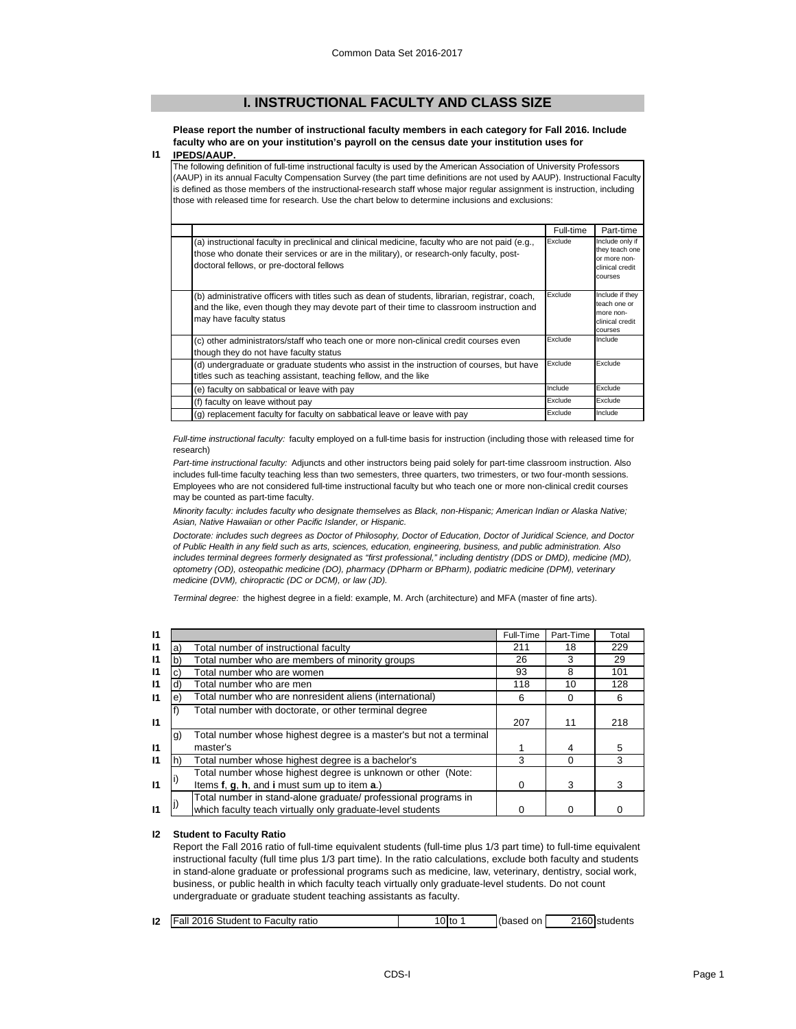# **I. INSTRUCTIONAL FACULTY AND CLASS SIZE**

**Please report the number of instructional faculty members in each category for Fall 2016. Include faculty who are on your institution's payroll on the census date your institution uses for** 

#### **I1 IPEDS/AAUP.**

The following definition of full-time instructional faculty is used by the American Association of University Professors (AAUP) in its annual Faculty Compensation Survey (the part time definitions are not used by AAUP). Instructional Faculty is defined as those members of the instructional-research staff whose major regular assignment is instruction, including those with released time for research. Use the chart below to determine inclusions and exclusions:

|                                                                                                                                                                                                                                          | Full-time | Part-time                                                                       |
|------------------------------------------------------------------------------------------------------------------------------------------------------------------------------------------------------------------------------------------|-----------|---------------------------------------------------------------------------------|
| (a) instructional faculty in preclinical and clinical medicine, faculty who are not paid (e.g.,<br>those who donate their services or are in the military), or research-only faculty, post-<br>doctoral fellows, or pre-doctoral fellows | Exclude   | Include only if<br>they teach one<br>or more non-<br>clinical credit<br>courses |
| (b) administrative officers with titles such as dean of students, librarian, registrar, coach,<br>and the like, even though they may devote part of their time to classroom instruction and<br>may have faculty status                   | Exclude   | Include if they<br>teach one or<br>more non-<br>clinical credit<br>courses      |
| (c) other administrators/staff who teach one or more non-clinical credit courses even<br>though they do not have faculty status                                                                                                          | Exclude   | Include                                                                         |
| (d) undergraduate or graduate students who assist in the instruction of courses, but have<br>titles such as teaching assistant, teaching fellow, and the like                                                                            | Exclude   | Exclude                                                                         |
| (e) faculty on sabbatical or leave with pay                                                                                                                                                                                              | Include   | Exclude                                                                         |
| (f) faculty on leave without pay                                                                                                                                                                                                         | Exclude   | Exclude                                                                         |
| (g) replacement faculty for faculty on sabbatical leave or leave with pay                                                                                                                                                                | Exclude   | Include                                                                         |

*Full-time instructional faculty:* faculty employed on a full-time basis for instruction (including those with released time for research)

*Part-time instructional faculty:* Adjuncts and other instructors being paid solely for part-time classroom instruction. Also includes full-time faculty teaching less than two semesters, three quarters, two trimesters, or two four-month sessions. Employees who are not considered full-time instructional faculty but who teach one or more non-clinical credit courses may be counted as part-time faculty.

*Minority faculty: includes faculty who designate themselves as Black, non-Hispanic; American Indian or Alaska Native; Asian, Native Hawaiian or other Pacific Islander, or Hispanic.* 

*Doctorate: includes such degrees as Doctor of Philosophy, Doctor of Education, Doctor of Juridical Science, and Doctor of Public Health in any field such as arts, sciences, education, engineering, business, and public administration. Also includes terminal degrees formerly designated as "first professional," including dentistry (DDS or DMD), medicine (MD), optometry (OD), osteopathic medicine (DO), pharmacy (DPharm or BPharm), podiatric medicine (DPM), veterinary medicine (DVM), chiropractic (DC or DCM), or law (JD).*

*Terminal degree:* the highest degree in a field: example, M. Arch (architecture) and MFA (master of fine arts).

| 11           |     |                                                                    | Full-Time | Part-Time | Total |
|--------------|-----|--------------------------------------------------------------------|-----------|-----------|-------|
| $\mathsf{I}$ | a)  | Total number of instructional faculty                              | 211       | 18        | 229   |
| $\mathsf{I}$ | b)  | Total number who are members of minority groups                    |           | 3         | 29    |
| $\mathsf{I}$ | C)  | Total number who are women                                         | 93        | 8         | 101   |
| $\mathsf{I}$ | d)  | Total number who are men                                           | 118       | 10        | 128   |
| $\mathsf{I}$ | e)  | Total number who are nonresident aliens (international)            | 6         | $\Omega$  | 6     |
|              |     | Total number with doctorate, or other terminal degree              |           |           |       |
| $\mathsf{I}$ |     |                                                                    | 207       | 11        | 218   |
|              | g)  | Total number whose highest degree is a master's but not a terminal |           |           |       |
| $\mathsf{I}$ |     | master's                                                           |           | 4         | 5     |
| $\mathsf{I}$ | lh) | Total number whose highest degree is a bachelor's                  | 3         | 0         | 3     |
|              |     | Total number whose highest degree is unknown or other (Note:       |           |           |       |
| $\mathsf{I}$ |     | Items f, g, h, and i must sum up to item a.)                       | 0         | 3         | 3     |
|              |     | Total number in stand-alone graduate/ professional programs in     |           |           |       |
| $\mathsf{I}$ |     | which faculty teach virtually only graduate-level students         |           |           |       |

### **I2 Student to Faculty Ratio**

Report the Fall 2016 ratio of full-time equivalent students (full-time plus 1/3 part time) to full-time equivalent instructional faculty (full time plus 1/3 part time). In the ratio calculations, exclude both faculty and students in stand-alone graduate or professional programs such as medicine, law, veterinary, dentistry, social work, business, or public health in which faculty teach virtually only graduate-level students. Do not count undergraduate or graduate student teaching assistants as faculty.

| (based on<br>12<br><b>Fall 2016 Student to Faculty ratio</b><br>2160 students<br>10Itc |  |
|----------------------------------------------------------------------------------------|--|
|----------------------------------------------------------------------------------------|--|